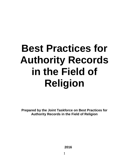# **Best Practices for Authority Records in the Field of Religion**

**Prepared by the Joint Taskforce on Best Practices for Authority Records in the Field of Religion**

**2016**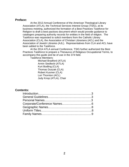# **Preface:**

At the 2013 Annual Conference of the American Theological Library Association (ATLA), the Technical Services Interest Group (TSIG), at its business meeting, authorized the formation of a Best Practices Taskforce for Religion to draft a best pactices document which would provide guidance to catalogers preparing authority records for entities in the field of religion. The Taskforce was requested to solicit members from the Catholic Library Association (CLA), the Association of Christian Librarians (ACL) and the Association of Jewish Libraries (AJL). Representatives from CLA and ACL have been added to the Taskforce.

At the 2014 ATLA annual Conference, TSIG further authorized the Best Practices Taskforce to prepare a Thesaurus of Religious Occupational Terms, to accompany this guide and be of use in the 374 field.

Taskforce Members:

Michael Bradford (ATLA) Armin Siedlecki (ATLA) Kurt Bodling (CLA) Thomas Duszak (CLA) Robert Kusmer (CLA) Lori Thornton (ACL) Judy Knop (ATLA), Chair

# **Contents:**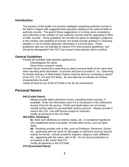# **Introduction:**

The purpose of this guide is to provide catalogers preparing authority records in the field of religion with suggested best practices relating to the optional fields in authority records. The goal of these suggestions is to bring some consistency and uniformity to the creation of new authority records and the upgrading to RDA of older records. These guidelines do not take the place of cataloger's judgment in the creation and updating of records, but simply provide guidance in choosing whether or not to include particular information in a formal area. These guidelines also are not intended to replace PCC best practice guidelines, and should be disregarded if the PCC has issued a best practice which conflicts.

# **General Guidelines**

Provide all verifiable data deemed significant to:

Disambiguate the name Serve future research needs

Consider future researchers searching on data in several fields at the same time when deciding what information to provide and how to provide it. Ex.: Searching for female teachers of Reformation history could be done by combining a search of the 372, 373, 374 and 375 fields. No one field has to indicate all of these characteristics by itself.

Justify all data by use of the 670 field or the \$v, \$u conventions.

# **Personal Names**

## **046 (Coded Dates):**

Always provide dates whenever known, including month and day, if available. Enter the information even if it is not present in the Authorized Access Point for the person. If birth and death dates are not known, include activity dates for pre-twentieth century persons. Always provide if used in the 1XX. Use edtf format except for centuries. Justify all elements in the 670 field.

## **368 (Other Attributes)**:

**\$c:** Note such attributes as veteran status, etc., if considered significant. Use established terms if possible. Provide other terms, such as Spirit, Saint.

**\$d**: Routinely provide rank or title, such as Professor, Reverend, Doctor, etc., appearing with the name on title pages or reference sources (record exactly as found). Include academic degrees, religious order affiliation, etc., appearing with the name, also in \$d. Do not record profession or occupation in \$d, prefer field 374.

Justify all elements in the 670 field.

## **370 (Associated Place):**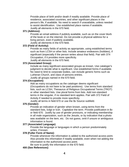Provide place of birth and/or death if readily available. Provide place of residence, associated countries, and other significant places in the person's life, if available. No need to search if unavailable, unless needed to assist identification. Use established place names if available. Justify all elements in the 670 field.

#### **371 (Address):**

Provide an email address if publicly available, such as on the cover blurb of the book or on the internet. Do not provide a physical address for a living person, even if publicly available.

Justify all elements in the 670 field.

## **372 (Field of Activity)**:

Provide as many fields of activity as appropriate, using established terms such as from LCSH or other lists. Include amateur endeavors (hobbies), if significant (especially if the person writes about that field). Pair with 374 Occupation, if it provides more specificity.

Justify all elements in the 670 field.

## **373 (Associated Group)**:

Include as many significant associated groups as known. Use cataloger's judgment to decide what is significant. Use established forms if available. No need to limit to corporate bodies, can include generic forms such as Lutheran Church, and class of persons entries.

Justify all groups named in the 670 field.

## **374 (Occupation)**:

Add as many occupations as the cataloger deems significant (Occupations do not have to be paid positions). Use terms from standard lists, such as LCSH, Thesaurus of Religious Occupational Terms (TROT) or other standard lists. Use plural forms from lists. Add non-standard terms in the singular, if no standard term applies. Pair with 372 Field of Activity if needed to provide more specificity.

Justify all terms in field 670 or use the \$v Source subfield.

#### **375 (Gender)**:

Provide an indication of gender when known, using terms from the standard lists, lcdgt or lcsh. Capitalize the term. Provide justification in \$v or field 670. Justify by use of gender pronouns, or indicating membership in all male organization, such as the Jesuits, or by indication that a photo was available on the item, etc. Do not guess, omit if unsure or ambiguous information is found.

# **377 (Associated Language)**:

Provide the language or languages in which a person predominately writes, if known.

#### **378 (Fuller Form of Name)**:

Provide whenever the information is added to the authorized access point. Also provide this information if readily available, even when not adding the information to the authorized access point.

Be sure to justify the information in the 670 field.

## **400 (See References)**: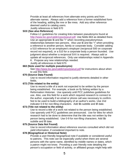Provide at least all references from alternate entry points and from alternate names. Always add a reference from a former established form of the heading, adding \$w nne or \$w nnea. Add any other reference deemed useful to catalog users.

Justify references in field 670

## **5XX (See also Reference)**

Follow LC guidelines for creating links between pseudonyms found at [http://www.loc.gov/catdir/cpso/pseud.pdf.](http://www.loc.gov/catdir/cpso/pseud.pdf) Use fields 663 as detailed there. Use an appropriate \$i and \$w "r" when recording pseudonymous relationships between two persons. Also use \$i and \$w "r" when providing a reference to another person, family or corporate body. Consider adding a 510 reference for an employee's employer (reciprocal 500 on corporate record not required), or a 510 for a corporate body a person founded. Use judgment about whether a reciprocal 5XX is required. Always add or update all reciprocal references. Only use relationships noted in Appendix K. Propose any new relationships needed.

Justify all references in field 670.

## **663 (Note used for multiple pseudonyms)**

See<http://www.loc.gov/catdir/cpso/pseud.pdf> for instructions about when to use this field.

# **670 (Source Data Found)**

Use to record information required to justify elements detailed in other fields.

## **672 (Title related to the entity)**

Use to record a title of a work not expected to be written by the person being established. For example, a book on fly fishing written by a Reformation Historian. Use sparsely until PCC publishes guidelines for use. Also, use this field for a work which required research to connect to the author, especially if an email or phone call was necessary to confirm. Not to be used to build a bibliography of an author's works. Use 2nd indicator 0-9 for non-filing characters. Add \$b subtitle and \$f date.

## **673 (Title not related to the entity)**

Use to record a title of a work not related to the person being established. Use sparsely until PCC guidelines are announced. Use for titles for which research had to be done to determine that the title was not written by the person being established. Use 0-9 for non-filing characters. Add \$b subtitle and \$f date.

# **675 (Source Data Not Found)**

Use to record information about reference sources consulted which did not yield information, if considered important to note.

#### **678 (Biographical or Historical Note)**:

Provide a user-friendly biographical note if available or considered useful to patrons. This note can be especially useful when there are several persons with the same name, identified by middle names or dates, which a patron might not know. Providing a user friendly note detailing the person's occupation or field of activity, or affiliated groups might help with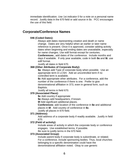immediate identification. Use 1st indicator 0 for a note on a personal name record. Justify data in the 670 field or add source in \$v. PCC encourages the use of this field.

# **Corporate/Conference Names**

# **046 (Coded Dates):**

Always add dates representing creation and death or name change. Dates are very helpful when an earlier or later name reference is present. Once it is approved, consider adding activity dates when beginning and ending dates are unavailable, especially for name changes. Use edtf format except for centuries.

**Conferences:**, add dates of the conference. Include months and days if available. If only year available, code in both **\$s** and **\$t**. use edtf format.

Justify all dates in field 670.

# **368 (Other Attributes of Corporate Body):**

**\$a** Always add Type of corporate body when possible. Use an appropriate term in LCSH. Add an uncontrolled term if no controlled term is available.

**\$c** Add appropriate other attributes. For a conference, add the number of the conference if there is one. Prefer to give denominational affiliation in 373, even in general form, such as Baptists.

Justify all terms in field 670.

# **370 (Associated Place):**

**\$c** Add country if appropriate

**\$e** Always add headquarters, if known.

**\$f** Add significant additional places.

**Conferences**: add location of the conference in **\$e** and additional places in **\$f**. Add country of conference in **\$c**.

Justify all places in 670 field.

# **371 (Address):**

Add address of a corporate body if readily available. Justify in field 670.

# **372 (Field of activity):**

Include areas of activity in which the corporate body or conference engages. Use established terms, if possible. Be sure to justify terms in the 670 field.

# **373 (Associated Group):**

Include parent body if corporate body is subordinate, or related. For a conference, include sponsoring bodies. Thus, local churches belonging to a specific denomination could have the denominational affiliation noted. Okay to use generic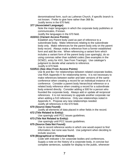denominational form, such as Lutheran Church, if specific branch is not known. Prefer to give here rather than 368 \$c. Justify terms in the 670 field.

# **377 (Associated Language):**

Note the major languages in which the corporate body publishes or communicates, if known.

Justify the languages in the 670 field.

# **410/411 (Variant Access Points):**

Establish any Parent body used as part of reference to a subordinate body. Make references relating to the subordinate body only. Make references for the parent body only on the parent body record. Always make a reference from a former established form and add \$w nne. When referencing a variant form which includes a variant form of the parent body (use sparingly), do so using commas rather than subfield codes (See examples in the DCMZ1, entry for 4XX, See From Tracings). Use cataloger's judgment to decide what variants to reference. Justify in 670 field.

## **510/511 (See Also From Access Points)**

Use \$i and \$w r for relationships between related corporate bodies. Use RDA Appendix K for relationship terms. It is not necessary to make references between earlier and later versions of the same conference when creating a record for an individual instance of a conference. Consider a parent body hierarchical reference or a related body reference when creating a record for a subordinate body entered directly. Consider adding a 500 for a person who founded the corporate body. Always add or update all reciprocal references. It is not necessary to upgrade another corporate nar when adding a 510 reference. Only use relationships noted in Appendix K. Propose any new relationships needed. Justify all references in the 670 field.

**670 (Source Data Found):**

Justify all elements of data placed in other fields in the record.

## **672 (Title Related to Entity):**

Use sparingly until PCC issues guidelines.

## **673 (Title Not Related to Entity):**

Use sparingly until PCC issues guidelines.

## **675 (Source Data Not Found):**

Use to record reference works in which one would expect to find information, but none was found. Use judgment when deciding to include sources.

## **678 (Biographical or Historical Note):**

Code with indicator 1 for corporate bodies and conferences. Supply a note on the history of a corporate body, in concise but complete sentences, suitable for display to the public, whenever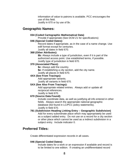information of value to patrons is available. PCC encourages the use of this field.

Justify in 670 or by use of \$v.

# **Geographic Names:**

# **034 (Coded Cartographic Mathematical Data)**

Provide if appropriate (See DCM Z1 for specifications)

# **046 (Special Coded Dates):**

Record dates if appropriate, as in the case of a name change. Use edtf format except for centuries.

Justify all dates in field 670.

# **368 (Other Attributes):**

**\$b:** Always include a type of jurisdiction, even if it is part of the authorized access point. Use established terms, if possible. Justify type of jurisdiction in field 670.

# **370 (Associated Place):**

**\$c:** Always add the country.

**\$e:** If establishing a city section, add the city name.

Justify all places in field 670.

# **4XX (See From Tracings):**

Add appropriate variants.

Justify all variants in field 670.

# **5XX (See Also From Tracings):**

Add appropriate related entries. Always add or update all reciprocal references.

Justify in field 670.

# **670 (Source Data Found):**

Include coordinate data, as well as justifying all info entered in other fields. Always search the appropriate national geographic database (list found in LC/PCC policy statements). Justify in field 670.

**781 (Subdivision Heading Linking Entry -- Geographic Subdivision)** Add for every subordinate place which may appropriately be used as a subject added entry. Do not use on a record for a city section or other place which cannot be used as a indirect subdivision in a subject entry. Include indicator 0.

# **Preferred Titles:**

Create differentiated expression records in all cases.

# **046 (Special Coded Dates):**

Include dates for a work or an expression if available and record is to be limited to one edition. If creating an undifferentiated record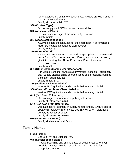for an expression, omit the creation date. Always provide if used in the 1XX. Use edtf format.

Justify all dates in field 670.

## **336 (Content Type):**

Do not supply until PCC issues recommendations.

# **370 (Associated Place):**

Indicate place of origin of the work in \$g, if known. Justify in field 670.

# **377 (Associated language):**

Always indicate the language for the expression, if determinable. **Note:** Do not add language to work records.

Justify in field 670.

# **380 (Form of Work):**

Always indicate the form of the work, if appropriate. Use standard terms from LCSH, genre lists, etc. If using an uncontrolled term, give it in the singular. **Note:** Do not add Form of work to expression records.

Justify in field 670.

## **381 (Other Distinguishing Characteristics):**

For Biblical versions, always supply version, translator, publisher, etc. Supply distinguishing characteristics of expressions, such as translator, publisher, etc.

Justify in field 670.

## **385 (Audience Characteristics)**

Wait for PCC guidelines and code list before using this field.

## **386 (Creator/Contributor Characteristics):**

Wait for PCC guidelines and code list before using this field.

### **4XX (See From References):**

Use cataloger's judgment in supplying references. Justify all references in 670.

#### **5XX (See Also From References):**

Use cataloger's judgment in supplying references. Always add or update all reciprocal references. Use **\$i, \$w r** when referencing author, translator or editor.

Justify all references in 670.

## **670 (Source Data Found):**

Justify all elements in all fields.

# **Family Names**

## **Fixed Fields:**

Set Subj: "n" and Subj use: "b".

#### **046 (Special coded dates):**

Provide beginning and ending dates or active dates whenever possible. Always provide if used in the 1XX. Use edtf format except for centuries.